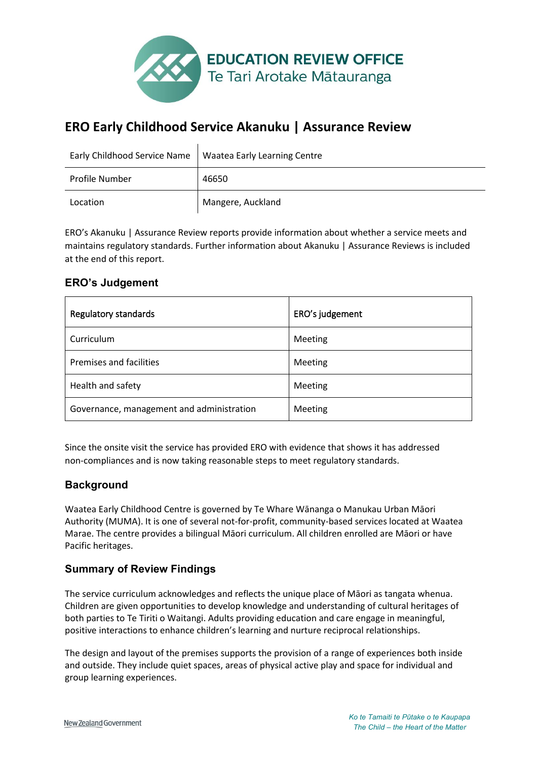

# **ERO Early Childhood Service Akanuku | Assurance Review**

| Early Childhood Service Name | <b>Waatea Early Learning Centre</b> |  |
|------------------------------|-------------------------------------|--|
| <b>Profile Number</b>        | 46650                               |  |
| Location                     | Mangere, Auckland                   |  |

ERO's Akanuku | Assurance Review reports provide information about whether a service meets and maintains regulatory standards. Further information about Akanuku | Assurance Reviews is included at the end of this report.

#### **ERO's Judgement**

| Regulatory standards                      | ERO's judgement |
|-------------------------------------------|-----------------|
| Curriculum                                | Meeting         |
| <b>Premises and facilities</b>            | Meeting         |
| Health and safety                         | Meeting         |
| Governance, management and administration | Meeting         |

Since the onsite visit the service has provided ERO with evidence that shows it has addressed non-compliances and is now taking reasonable steps to meet regulatory standards.

#### **Background**

Waatea Early Childhood Centre is governed by Te Whare Wānanga o Manukau Urban Māori Authority (MUMA). It is one of several not-for-profit, community-based services located at Waatea Marae. The centre provides a bilingual Māori curriculum. All children enrolled are Māori or have Pacific heritages.

#### **Summary of Review Findings**

The service curriculum acknowledges and reflects the unique place of Māori as tangata whenua. Children are given opportunities to develop knowledge and understanding of cultural heritages of both parties to Te Tiriti o Waitangi. Adults providing education and care engage in meaningful, positive interactions to enhance children's learning and nurture reciprocal relationships.

The design and layout of the premises supports the provision of a range of experiences both inside and outside. They include quiet spaces, areas of physical active play and space for individual and group learning experiences.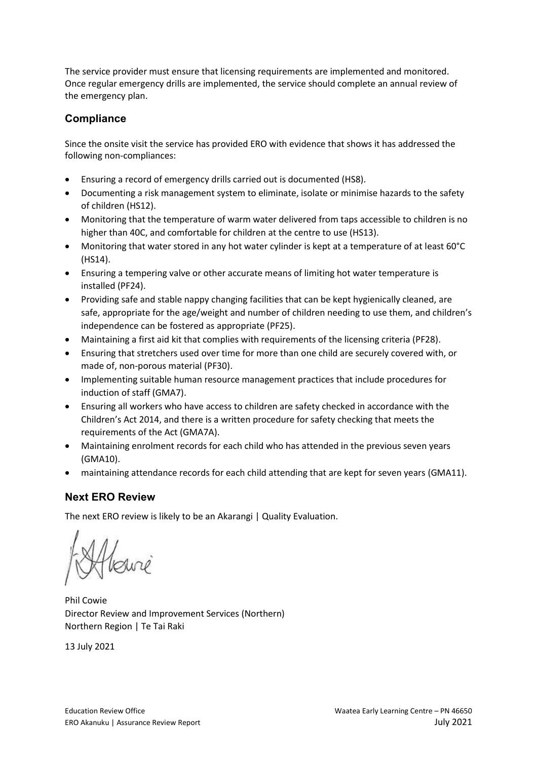The service provider must ensure that licensing requirements are implemented and monitored. Once regular emergency drills are implemented, the service should complete an annual review of the emergency plan.

### **Compliance**

Since the onsite visit the service has provided ERO with evidence that shows it has addressed the following non-compliances:

- x Ensuring a record of emergency drills carried out is documented (HS8).
- Documenting a risk management system to eliminate, isolate or minimise hazards to the safety of children (HS12).
- Monitoring that the temperature of warm water delivered from taps accessible to children is no higher than 40C, and comfortable for children at the centre to use (HS13).
- Monitoring that water stored in any hot water cylinder is kept at a temperature of at least 60°C (HS14).
- Ensuring a tempering valve or other accurate means of limiting hot water temperature is installed (PF24).
- Providing safe and stable nappy changing facilities that can be kept hygienically cleaned, are safe, appropriate for the age/weight and number of children needing to use them, and children's independence can be fostered as appropriate (PF25).
- Maintaining a first aid kit that complies with requirements of the licensing criteria (PF28).
- Ensuring that stretchers used over time for more than one child are securely covered with, or made of, non-porous material (PF30).
- Implementing suitable human resource management practices that include procedures for induction of staff (GMA7).
- Ensuring all workers who have access to children are safety checked in accordance with the Children's Act 2014, and there is a written procedure for safety checking that meets the requirements of the Act (GMA7A).
- Maintaining enrolment records for each child who has attended in the previous seven years (GMA10).
- maintaining attendance records for each child attending that are kept for seven years (GMA11).

#### **Next ERO Review**

The next ERO review is likely to be an Akarangi | Quality Evaluation.

Phil Cowie Director Review and Improvement Services (Northern) Northern Region | Te Tai Raki

13 July 2021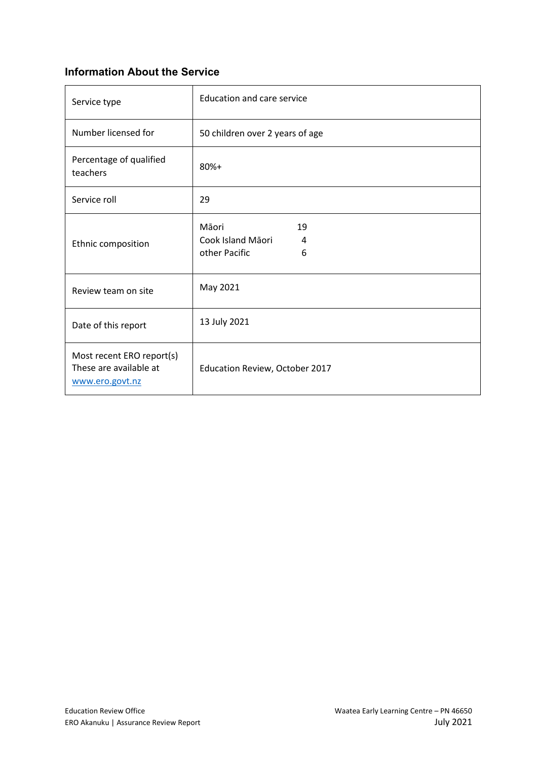## **Information About the Service**

| Service type                                                           | <b>Education and care service</b>                           |  |
|------------------------------------------------------------------------|-------------------------------------------------------------|--|
| Number licensed for                                                    | 50 children over 2 years of age                             |  |
| Percentage of qualified<br>teachers                                    | $80%+$                                                      |  |
| Service roll                                                           | 29                                                          |  |
| Ethnic composition                                                     | Māori<br>19<br>Cook Island Māori<br>4<br>other Pacific<br>6 |  |
| Review team on site                                                    | May 2021                                                    |  |
| Date of this report                                                    | 13 July 2021                                                |  |
| Most recent ERO report(s)<br>These are available at<br>www.ero.govt.nz | Education Review, October 2017                              |  |